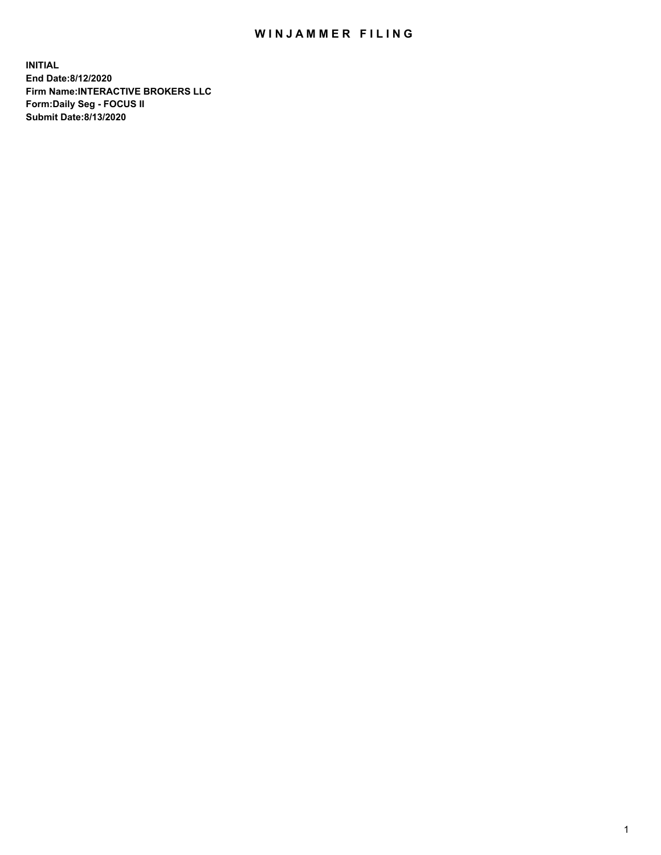## WIN JAMMER FILING

**INITIAL End Date:8/12/2020 Firm Name:INTERACTIVE BROKERS LLC Form:Daily Seg - FOCUS II Submit Date:8/13/2020**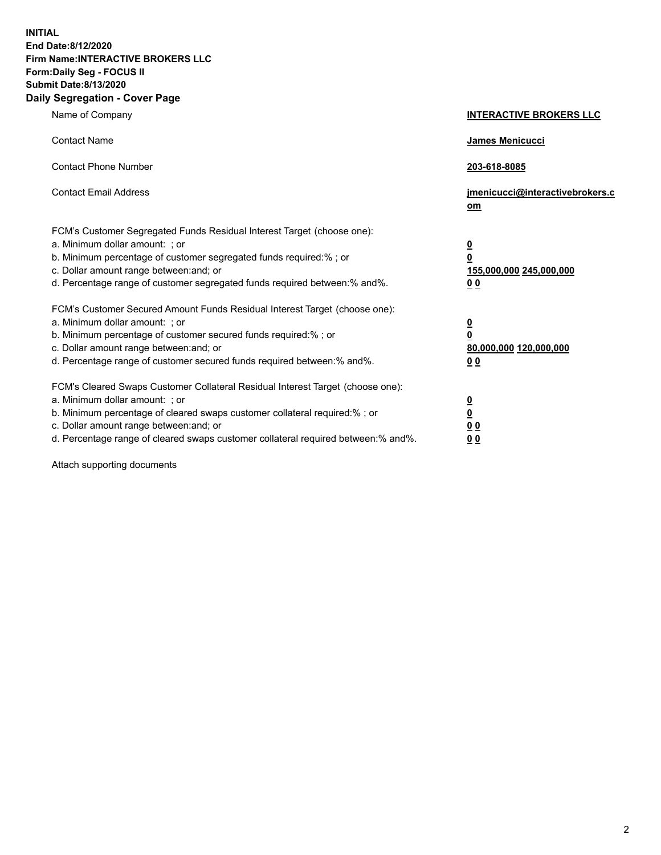**INITIAL End Date:8/12/2020 Firm Name:INTERACTIVE BROKERS LLC Form:Daily Seg - FOCUS II Submit Date:8/13/2020 Daily Segregation - Cover Page**

| Name of Company                                                                                                                                                                                                                                                                                                                | <b>INTERACTIVE BROKERS LLC</b>                                                   |
|--------------------------------------------------------------------------------------------------------------------------------------------------------------------------------------------------------------------------------------------------------------------------------------------------------------------------------|----------------------------------------------------------------------------------|
| <b>Contact Name</b>                                                                                                                                                                                                                                                                                                            | James Menicucci                                                                  |
| <b>Contact Phone Number</b>                                                                                                                                                                                                                                                                                                    | 203-618-8085                                                                     |
| <b>Contact Email Address</b>                                                                                                                                                                                                                                                                                                   | jmenicucci@interactivebrokers.c<br>om                                            |
| FCM's Customer Segregated Funds Residual Interest Target (choose one):<br>a. Minimum dollar amount: ; or<br>b. Minimum percentage of customer segregated funds required:% ; or<br>c. Dollar amount range between: and; or<br>d. Percentage range of customer segregated funds required between:% and%.                         | <u>0</u><br>$\overline{\mathbf{0}}$<br>155,000,000 245,000,000<br>0 <sub>0</sub> |
| FCM's Customer Secured Amount Funds Residual Interest Target (choose one):<br>a. Minimum dollar amount: ; or<br>b. Minimum percentage of customer secured funds required:% ; or<br>c. Dollar amount range between: and; or<br>d. Percentage range of customer secured funds required between:% and%.                           | <u>0</u><br>$\overline{\mathbf{0}}$<br>80,000,000 120,000,000<br>0 <sub>0</sub>  |
| FCM's Cleared Swaps Customer Collateral Residual Interest Target (choose one):<br>a. Minimum dollar amount: ; or<br>b. Minimum percentage of cleared swaps customer collateral required:% ; or<br>c. Dollar amount range between: and; or<br>d. Percentage range of cleared swaps customer collateral required between:% and%. | <u>0</u><br>$\underline{\mathbf{0}}$<br>0 <sub>0</sub><br>0 <sub>0</sub>         |

Attach supporting documents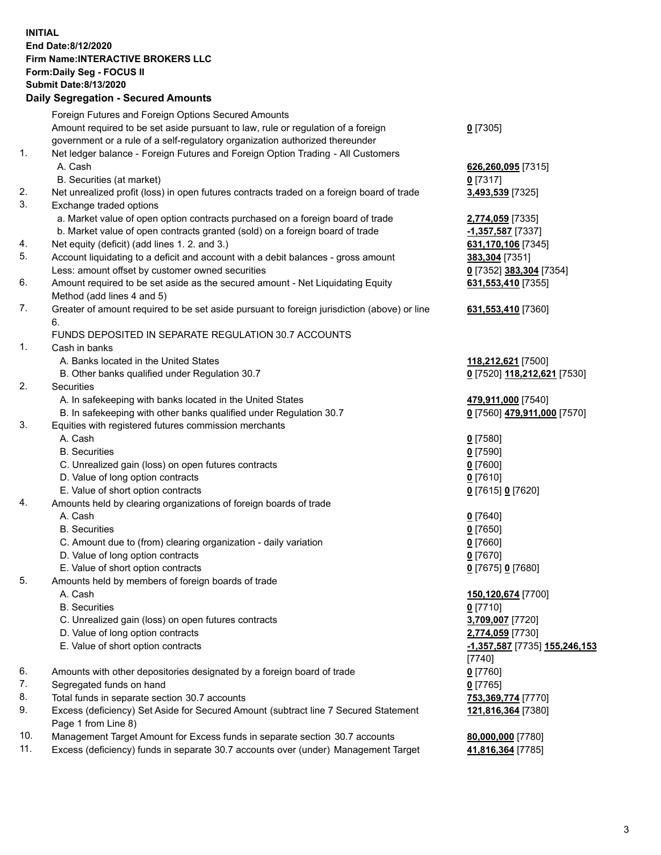## **INITIAL End Date:8/12/2020 Firm Name:INTERACTIVE BROKERS LLC Form:Daily Seg - FOCUS II Submit Date:8/13/2020 Daily Segregation - Secured Amounts**

|     | Daily Jeglegation - Jeculed Amounts                                                         |                               |
|-----|---------------------------------------------------------------------------------------------|-------------------------------|
|     | Foreign Futures and Foreign Options Secured Amounts                                         |                               |
|     | Amount required to be set aside pursuant to law, rule or regulation of a foreign            | $0$ [7305]                    |
|     | government or a rule of a self-regulatory organization authorized thereunder                |                               |
| 1.  | Net ledger balance - Foreign Futures and Foreign Option Trading - All Customers             |                               |
|     | A. Cash                                                                                     | 626,260,095 [7315]            |
|     | B. Securities (at market)                                                                   | $0$ [7317]                    |
| 2.  | Net unrealized profit (loss) in open futures contracts traded on a foreign board of trade   | 3,493,539 [7325]              |
| 3.  | Exchange traded options                                                                     |                               |
|     | a. Market value of open option contracts purchased on a foreign board of trade              | 2,774,059 [7335]              |
|     | b. Market value of open contracts granted (sold) on a foreign board of trade                | -1,357,587 [7337]             |
| 4.  | Net equity (deficit) (add lines 1. 2. and 3.)                                               | 631,170,106 [7345]            |
| 5.  | Account liquidating to a deficit and account with a debit balances - gross amount           | 383,304 [7351]                |
|     | Less: amount offset by customer owned securities                                            | 0 [7352] 383,304 [7354]       |
| 6.  | Amount required to be set aside as the secured amount - Net Liquidating Equity              | 631,553,410 [7355]            |
|     | Method (add lines 4 and 5)                                                                  |                               |
| 7.  | Greater of amount required to be set aside pursuant to foreign jurisdiction (above) or line | 631,553,410 [7360]            |
|     | 6.                                                                                          |                               |
|     | FUNDS DEPOSITED IN SEPARATE REGULATION 30.7 ACCOUNTS                                        |                               |
| 1.  | Cash in banks                                                                               |                               |
|     | A. Banks located in the United States                                                       | 118,212,621 [7500]            |
|     | B. Other banks qualified under Regulation 30.7                                              | 0 [7520] 118,212,621 [7530]   |
| 2.  | Securities                                                                                  |                               |
|     | A. In safekeeping with banks located in the United States                                   | 479,911,000 [7540]            |
|     | B. In safekeeping with other banks qualified under Regulation 30.7                          | 0 [7560] 479,911,000 [7570]   |
| 3.  | Equities with registered futures commission merchants                                       |                               |
|     | A. Cash                                                                                     | $0$ [7580]                    |
|     | <b>B.</b> Securities                                                                        | $0$ [7590]                    |
|     | C. Unrealized gain (loss) on open futures contracts                                         | $0$ [7600]                    |
|     | D. Value of long option contracts                                                           | $0$ [7610]                    |
|     | E. Value of short option contracts                                                          | 0 [7615] 0 [7620]             |
| 4.  | Amounts held by clearing organizations of foreign boards of trade                           |                               |
|     | A. Cash                                                                                     | $0$ [7640]                    |
|     | <b>B.</b> Securities                                                                        | $0$ [7650]                    |
|     | C. Amount due to (from) clearing organization - daily variation                             | $0$ [7660]                    |
|     | D. Value of long option contracts                                                           | $0$ [7670]                    |
|     | E. Value of short option contracts                                                          | 0 [7675] 0 [7680]             |
| 5.  | Amounts held by members of foreign boards of trade                                          |                               |
|     | A. Cash                                                                                     | 150,120,674 [7700]            |
|     | <b>B.</b> Securities                                                                        | $0$ [7710]                    |
|     | C. Unrealized gain (loss) on open futures contracts                                         | 3,709,007 [7720]              |
|     | D. Value of long option contracts                                                           | 2,774,059 [7730]              |
|     | E. Value of short option contracts                                                          | -1,357,587 [7735] 155,246,153 |
|     |                                                                                             | [7740]                        |
| 6.  | Amounts with other depositories designated by a foreign board of trade                      | $0$ [7760]                    |
| 7.  | Segregated funds on hand                                                                    | $0$ [7765]                    |
| 8.  | Total funds in separate section 30.7 accounts                                               | 753,369,774 [7770]            |
| 9.  | Excess (deficiency) Set Aside for Secured Amount (subtract line 7 Secured Statement         | 121,816,364 [7380]            |
|     | Page 1 from Line 8)                                                                         |                               |
| 10. | Management Target Amount for Excess funds in separate section 30.7 accounts                 | 80,000,000 [7780]             |
| 11. | Excess (deficiency) funds in separate 30.7 accounts over (under) Management Target          | 41,816,364 [7785]             |
|     |                                                                                             |                               |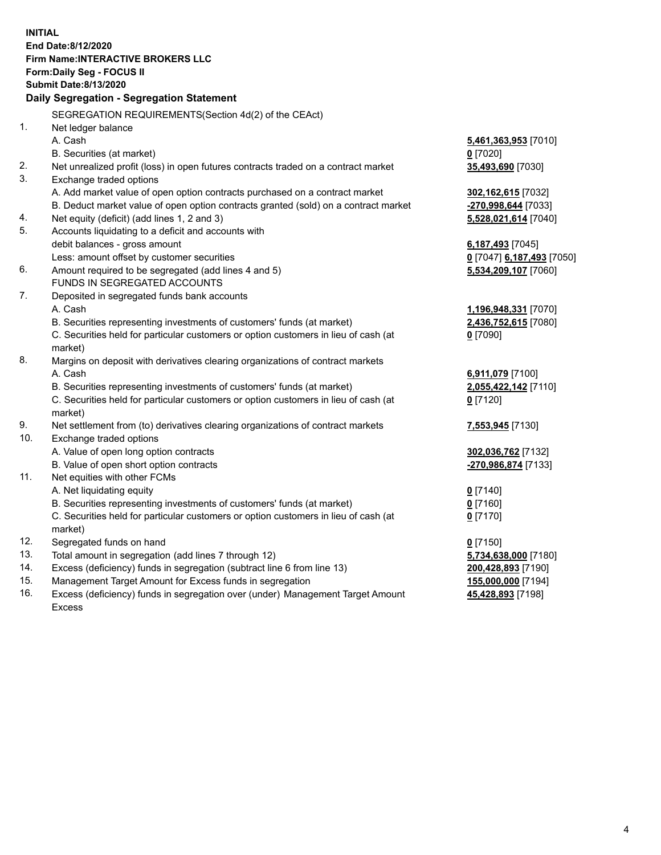**INITIAL End Date:8/12/2020 Firm Name:INTERACTIVE BROKERS LLC Form:Daily Seg - FOCUS II Submit Date:8/13/2020 Daily Segregation - Segregation Statement** SEGREGATION REQUIREMENTS(Section 4d(2) of the CEAct) 1. Net ledger balance A. Cash **5,461,363,953** [7010] B. Securities (at market) **0** [7020] 2. Net unrealized profit (loss) in open futures contracts traded on a contract market **35,493,690** [7030] 3. Exchange traded options A. Add market value of open option contracts purchased on a contract market **302,162,615** [7032] B. Deduct market value of open option contracts granted (sold) on a contract market **-270,998,644** [7033] 4. Net equity (deficit) (add lines 1, 2 and 3) **5,528,021,614** [7040] 5. Accounts liquidating to a deficit and accounts with debit balances - gross amount **6,187,493** [7045] Less: amount offset by customer securities **0** [7047] **6,187,493** [7050] 6. Amount required to be segregated (add lines 4 and 5) **5,534,209,107** [7060] FUNDS IN SEGREGATED ACCOUNTS 7. Deposited in segregated funds bank accounts A. Cash **1,196,948,331** [7070] B. Securities representing investments of customers' funds (at market) **2,436,752,615** [7080] C. Securities held for particular customers or option customers in lieu of cash (at market) **0** [7090] 8. Margins on deposit with derivatives clearing organizations of contract markets A. Cash **6,911,079** [7100] B. Securities representing investments of customers' funds (at market) **2,055,422,142** [7110] C. Securities held for particular customers or option customers in lieu of cash (at market) **0** [7120] 9. Net settlement from (to) derivatives clearing organizations of contract markets **7,553,945** [7130] 10. Exchange traded options A. Value of open long option contracts **302,036,762** [7132] B. Value of open short option contracts **-270,986,874** [7133] 11. Net equities with other FCMs A. Net liquidating equity **0** [7140] B. Securities representing investments of customers' funds (at market) **0** [7160] C. Securities held for particular customers or option customers in lieu of cash (at market) **0** [7170] 12. Segregated funds on hand **0** [7150] 13. Total amount in segregation (add lines 7 through 12) **5,734,638,000** [7180] 14. Excess (deficiency) funds in segregation (subtract line 6 from line 13) **200,428,893** [7190] 15. Management Target Amount for Excess funds in segregation **155,000,000** [7194]

16. Excess (deficiency) funds in segregation over (under) Management Target Amount Excess

**45,428,893** [7198]